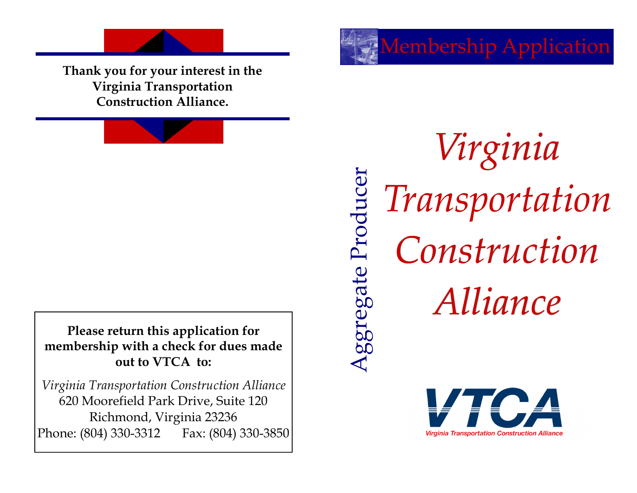**Thank you for your interest in the Virginia Transportation Construction Alliance.**

**Please return this application for membership with a check for dues made out to VTCA to:** 

*Virginia Transportation Construction Alliance*  620 Moorefield Park Drive, Suite 120 Richmond, Virginia 23236 Phone: (804) 330-3312 Fax: (804) 330-3850

*Virginia*  Aggregate Producer *Transportation*  Aggregate Producer *Construction Alliance*

Membership Application